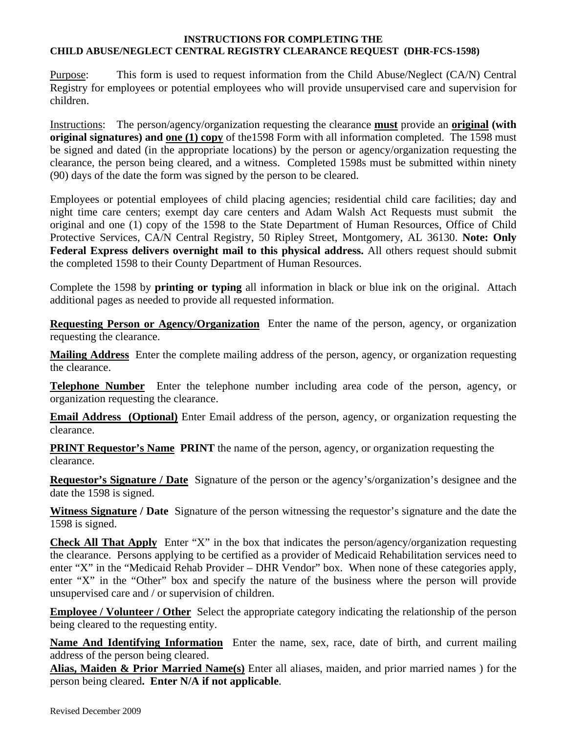## **INSTRUCTIONS FOR COMPLETING THE CHILD ABUSE/NEGLECT CENTRAL REGISTRY CLEARANCE REQUEST (DHR-FCS-1598)**

Purpose: This form is used to request information from the Child Abuse/Neglect (CA/N) Central Registry for employees or potential employees who will provide unsupervised care and supervision for children.

Instructions: The person/agency/organization requesting the clearance **must** provide an **original (with original signatures)** and <u>one (1) copy</u> of the 1598 Form with all information completed. The 1598 must be signed and dated (in the appropriate locations) by the person or agency/organization requesting the clearance, the person being cleared, and a witness. Completed 1598s must be submitted within ninety (90) days of the date the form was signed by the person to be cleared.

Employees or potential employees of child placing agencies; residential child care facilities; day and night time care centers; exempt day care centers and Adam Walsh Act Requests must submit the original and one (1) copy of the 1598 to the State Department of Human Resources, Office of Child Protective Services, CA/N Central Registry, 50 Ripley Street, Montgomery, AL 36130. **Note: Only Federal Express delivers overnight mail to this physical address.** All others request should submit the completed 1598 to their County Department of Human Resources.

Complete the 1598 by **printing or typing** all information in black or blue ink on the original. Attach additional pages as needed to provide all requested information.

**Requesting Person or Agency/Organization** Enter the name of the person, agency, or organization requesting the clearance.

**Mailing Address** Enter the complete mailing address of the person, agency, or organization requesting the clearance.

**Telephone Number** Enter the telephone number including area code of the person, agency, or organization requesting the clearance.

**Email Address (Optional)** Enter Email address of the person, agency, or organization requesting the clearance.

**PRINT Requestor's Name PRINT** the name of the person, agency, or organization requesting the clearance.

**Requestor's Signature / Date** Signature of the person or the agency's/organization's designee and the date the 1598 is signed.

**Witness Signature / Date** Signature of the person witnessing the requestor's signature and the date the 1598 is signed.

**Check All That Apply** Enter "X" in the box that indicates the person/agency/organization requesting the clearance. Persons applying to be certified as a provider of Medicaid Rehabilitation services need to enter "X" in the "Medicaid Rehab Provider – DHR Vendor" box. When none of these categories apply, enter "X" in the "Other" box and specify the nature of the business where the person will provide unsupervised care and / or supervision of children.

**Employee / Volunteer / Other** Select the appropriate category indicating the relationship of the person being cleared to the requesting entity.

**Name And Identifying Information** Enter the name, sex, race, date of birth, and current mailing address of the person being cleared.

**Alias, Maiden & Prior Married Name(s)** Enter all aliases, maiden, and prior married names ) for the person being cleared**. Enter N/A if not applicable**.